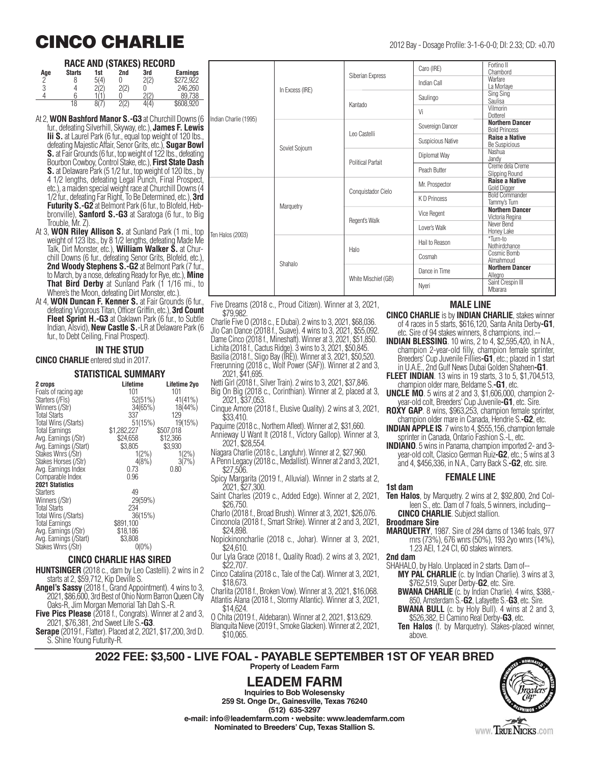## **CINCO CHARLIE** 2012 Bay - Dosage Profile: 3-1-6-0-0; DI: 2.33; CD: +0.70

#### **RACE AND (STAKES) RECORD**

| Age | <b>Starts</b> | 1st  | <br>2nd          | 3rd        | <b>Earnings</b> |
|-----|---------------|------|------------------|------------|-----------------|
| n   |               | 5(4) |                  | 2(2)       | ሰባ7ባ            |
| 3   |               |      | 2(2)<br><u>.</u> |            | 246.260         |
|     |               |      |                  | $\sqrt{2}$ | 738             |
|     | 18            |      | (0)              |            | \$608.920       |

- At 2, **WON Bashford Manor S.-G3** at Churchill Downs (6 fur., defeating Silverhill, Skyway, etc.), **James F. Lewis Iii S.** at Laurel Park (6 fur., equal top weight of 120 lbs. defeating Majestic Affair, Senor Grits, etc.), **Sugar Bowl S.** at Fair Grounds (6 fur., top weight of 122 lbs., defeating Bourbon Cowboy, Control Stake, etc.), **First State Dash S.** at Delaware Park (5 1/2 fur., top weight of 120 lbs., by 4 1/2 lengths, defeating Legal Punch, Final Prospect, etc.), a maiden special weight race at Churchill Downs (4 1/2 fur., defeating Far Right, To Be Determined, etc.), **3rd Futurity S.-G2** at Belmont Park (6 fur., to Blofeld, Hebbronville), **Sanford S.-G3** at Saratoga (6 fur., to Big Trouble, Mr. Z).
- At 3, **WON Riley Allison S.** at Sunland Park (1 mi., top weight of 123 lbs., by 8 1/2 lengths, defeating Made Me Talk, Dirt Monster, etc.), **William Walker S.** at Churchill Downs (6 fur., defeating Senor Grits, Blofeld, etc.), **2nd Woody Stephens S.-G2** at Belmont Park (7 fur., to March, by a nose, defeating Ready for Rye, etc.), **Mine That Bird Derby** at Sunland Park (1 1/16 mi., to Where's the Moon, defeating Dirt Monster, etc.).
- At 4, **WON Duncan F. Kenner S.** at Fair Grounds (6 fur., defeating Vigorous Titan, Officer Griffin, etc.), **3rd Count Fleet Sprint H.-G3** at Oaklawn Park (6 fur., to Subtle Indian, Alsvid), **New Castle S.**-LR at Delaware Park (6 fur., to Debt Ceiling, Final Prospect).

#### **IN THE STUD**

**CINCO CHARLIE** entered stud in 2017.

#### **STATISTICAL SUMMARY**

| 2 crops                | Lifetime    | Lifetime 2yo |
|------------------------|-------------|--------------|
| Foals of racing age    | 101         | 101          |
| Starters (/FIs)        | 52(51%)     | 41(41%)      |
| Winners (/Str)         | 34(65%)     | 18(44%)      |
| <b>Total Starts</b>    | 337         | 129          |
| Total Wins (/Starts)   | 51(15%)     | 19(15%)      |
| <b>Total Earnings</b>  | \$1,282,227 | \$507,018    |
| Avg. Earnings (/Str)   | \$24,658    | \$12,366     |
| Avg. Earnings (/Start) | \$3,805     | \$3,930      |
| Stakes Wnrs (/Str)     | $1(2\%)$    | $1(2\%)$     |
| Stakes Horses (/Str)   | 4(8%)       | 3(7%)        |
| Avg. Earnings Index    | 0.73        | 0.80         |
| Comparable Index       | 0.96        |              |
| <b>2021 Statistics</b> |             |              |
| <b>Starters</b>        | 49          |              |
| Winners (/Str)         | 29(59%)     |              |
| <b>Total Starts</b>    | 234         |              |
| Total Wins (/Starts)   | 36(15%)     |              |
| <b>Total Earnings</b>  | \$891,100   |              |
| Avg. Earnings (/Str)   | \$18,186    |              |
| Avg. Earnings (/Start) | \$3,808     |              |
| Stakes Wnrs (/Str)     | $0(0\%)$    |              |

#### **CINCO CHARLIE HAS SIRED**

- **HUNTSINGER** (2018 c., dam by Leo Castelli). 2 wins in 2 starts at 2, \$59,712, Kip Deville S.
- **Angel's Sassy** (2018 f., Grand Appointment). 4 wins to 3, 2021, \$86,600, 3rd Best of Ohio Norm Barron Queen City Oaks-R, Jim Morgan Memorial Tah Dah S.-R.
- **Five Pics Please** (2018 f., Congrats). Winner at 2 and 3, 2021, \$76,381, 2nd Sweet Life S.**-G3**.
- **Serape** (2019 f., Flatter). Placed at 2, 2021, \$17,200, 3rd D. S. Shine Young Futurity-R.

|                       | In Excess (IRE) | Siberian Express         | Caro (IRE)               | Fortino II<br>Chambord                         |
|-----------------------|-----------------|--------------------------|--------------------------|------------------------------------------------|
|                       |                 |                          | Indian Call              | Warfare<br>La Morlave                          |
|                       |                 | Kantado                  | Saulingo                 | Sing Sing<br><b>Saulisa</b>                    |
| Indian Charlie (1995) |                 |                          | Vi                       | Vilmorin<br>Dotterel                           |
|                       | Soviet Sojourn  | Leo Castelli             | Sovereign Dancer         | <b>Northern Dancer</b><br><b>Bold Princess</b> |
|                       |                 |                          | <b>Suspicious Native</b> | <b>Raise a Native</b><br><b>Be Suspicious</b>  |
|                       |                 | <b>Political Parfait</b> | Diplomat Way             | Nashua<br>Jandy                                |
|                       |                 |                          | Peach Butter             | Creme dela Creme<br>Slipping Round             |
|                       | Marquetry       | Conquistador Cielo       | Mr. Prospector           | <b>Raise a Native</b><br>Gold Digger           |
|                       |                 |                          | KD Princess              | <b>Bold Commander</b><br>Tammy's Turn          |
|                       |                 | Regent's Walk            | Vice Regent              | <b>Northern Dancer</b><br>Victoria Regina      |
| Ten Halos (2003)      |                 |                          | Lover's Walk             | Never Bend<br>Honey Lake                       |
|                       | Shahalo         | Halo                     | Hail to Reason           | *Turn-to<br>Nothirdchance                      |
|                       |                 |                          | Cosmah                   | Cosmic Bomb<br>Almahmoud                       |
|                       |                 | White Mischief (GB)      | Dance in Time            | <b>Northern Dancer</b><br>Allegro              |
|                       |                 |                          | Nyeri                    | Saint Crespin III<br>Mbarara                   |

Five Dreams (2018 c., Proud Citizen). Winner at 3, 2021, \$79,982.

Charlie Five O (2018 c., E Dubai). 2 wins to 3, 2021, \$68,036. Jlo Can Dance (2018 f., Suave). 4 wins to 3, 2021, \$55,092. Dame Cinco (2018 f., Mineshaft). Winner at 3, 2021, \$51,850. Lichita (2018 f., Cactus Ridge). 3 wins to 3, 2021, \$50,845. Basilia (2018 f., Sligo Bay (IRE)). Winner at 3, 2021, \$50,520. Freerunning (2018 c., Wolf Power (SAF)). Winner at 2 and 3, 2021, \$41,695.

- Netti Girl (2018 f., Silver Train). 2 wins to 3, 2021, \$37,846. Big On Big (2018 c., Corinthian). Winner at 2, placed at 3,
- 2021, \$37,053.
- Cinque Amore (2018 f., Elusive Quality). 2 wins at 3, 2021, \$33,410.
- Paquime (2018 c., Northern Afleet). Winner at 2, \$31,660.
- Annieway U Want It (2018 f., Victory Gallop). Winner at 3, 2021, \$28,554.
- Niagara Charlie (2018 c., Langfuhr). Winner at 2, \$27,960. A Penn Legacy (2018 c., Medallist). Winner at 2 and 3, 2021,
- \$27,506. Spicy Margarita (2019 f., Alluvial). Winner in 2 starts at 2, 2021, \$27,300.
- Saint Charles (2019 c., Added Edge). Winner at 2, 2021, \$26,750.
- Charlo (2018 f., Broad Brush). Winner at 3, 2021, \$26,076. Cinconola (2018 f., Smart Strike). Winner at 2 and 3, 2021, \$24,898.
- Nopickinoncharlie (2018 c., Johar). Winner at 3, 2021, \$24,610.
- Our Lyla Grace (2018 f., Quality Road). 2 wins at 3, 2021, \$22,707.
- Cinco Catalina (2018 c., Tale of the Cat). Winner at 3, 2021, \$18,673.
- Charlita (2018 f., Broken Vow). Winner at 3, 2021, \$16,068. Atlantis Alana (2018 f., Stormy Atlantic). Winner at 3, 2021, \$14,624.
- O Chita (2019 f., Aldebaran). Winner at 2, 2021, \$13,629. Blanquita Nieve (2019 f., Smoke Glacken). Winner at 2, 2021, \$10,065.

#### **MALE LINE**

**CINCO CHARLIE** is by **INDIAN CHARLIE**, stakes winner of 4 races in 5 starts, \$616,120, Santa Anita Derby**-G1**, etc. Sire of 94 stakes winners, 8 champions, incl.-

- **INDIAN BLESSING**. 10 wins, 2 to 4, \$2,595,420, in N.A., champion 2-year-old filly, champion female sprinter, Breeders' Cup Juvenile Fillies**-G1**, etc.; placed in 1 start in U.A.E., 2nd Gulf News Dubai Golden Shaheen**-G1**.
- **FLEET INDIAN**. 13 wins in 19 starts, 3 to 5, \$1,704,513, champion older mare, Beldame S.**-G1**, etc.
- **UNCLE MO**. 5 wins at 2 and 3, \$1,606,000, champion 2 year-old colt, Breeders' Cup Juvenile**-G1**, etc. Sire.
- **ROXY GAP**. 8 wins, \$963,253, champion female sprinter, champion older mare in Canada, Hendrie S.**-G2**, etc.
- **INDIAN APPLE IS**. 7 wins to 4, \$555,156, champion female sprinter in Canada, Ontario Fashion S.-L, etc.
- **INDIANO**. 5 wins in Panama, champion imported 2- and 3 year-old colt, Clasico German Ruiz**-G2**, etc.; 5 wins at 3 and 4, \$456,336, in N.A., Carry Back S.**-G2**, etc. sire.

#### **FEMALE LINE**

- **1st dam Ten Halos**, by Marquetry. 2 wins at 2, \$92,800, 2nd Colleen S., etc. Dam of 7 foals, 5 winners, including--
- **CINCO CHARLIE**. Subject stallion.

#### **Broodmare Sire**

**MARQUETRY**, 1987. Sire of 284 dams of 1346 foals, 977 rnrs (73%), 676 wnrs (50%), 193 2yo wnrs (14%), 1.23 AEI, 1.24 CI, 60 stakes winners.

**2nd dam**

- SHAHALO, by Halo. Unplaced in 2 starts. Dam of--
	- **MY PAL CHARLIE** (c. by Indian Charlie). 3 wins at 3, \$762,519, Super Derby-**G2**, etc. Sire.
	- **BWANA CHARLIE** (c. by Indian Charlie). 4 wins, \$388,- 850, Amsterdam S.-**G2**, Lafayette S.-**G3**, etc. Sire.
	- **BWANA BULL** (c. by Holy Bull). 4 wins at 2 and 3, \$526,382, El Camino Real Derby-**G3**, etc.
	- **Ten Halos** (f. by Marquetry). Stakes-placed winner, above.

**2022 FEE: \$3,500 - LIVE FOAL - PAYABLE SEPTEMBER 1ST OF YEAR BRED Property of Leadem Farm**

## **LEADEM FARM**

**Inquiries to Bob Wolesensky 259 St. Onge Dr., Gainesville, Texas 76240 (512) 635-3297 e-mail: info@leademfarm.com • website: www.leademfarm.com Nominated to Breeders' Cup, Texas Stallion S.**